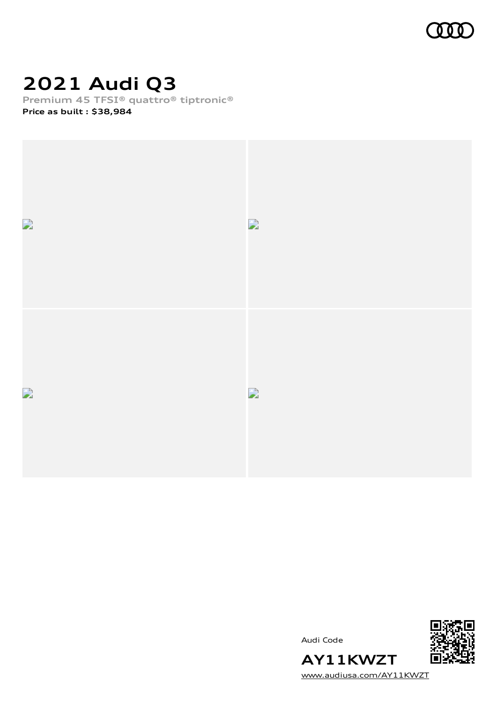

# **2021 Audi Q3**

**Premium 45 TFSI® quattro® tiptronic®**

**Price as built [:](#page-10-0) \$38,984**



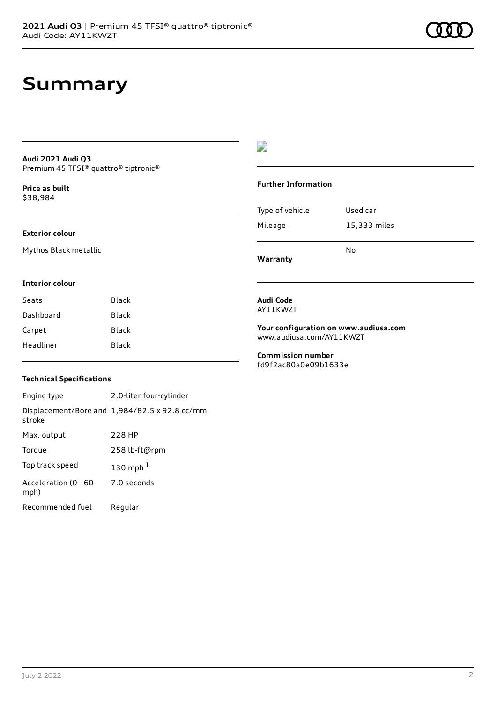### **Summary**

### **Audi 2021 Audi Q3** Premium 45 TFSI® quattro® tiptronic®

**Price as buil[t](#page-10-0)** \$38,984

### **Exterior colour**

Mythos Black metallic

### D

#### **Further Information**

|                 | No           |
|-----------------|--------------|
| Mileage         | 15,333 miles |
| Type of vehicle | Used car     |

**Warranty**

#### **Interior colour**

| Black |
|-------|
| Black |
| Black |
| Black |
|       |

#### **Audi Code** AY11KWZT

**Your configuration on www.audiusa.com** [www.audiusa.com/AY11KWZT](https://www.audiusa.com/AY11KWZT)

**Commission number** fd9f2ac80a0e09b1633e

### **Technical Specifications**

Engine type 2.0-liter four-cylinder Displacement/Bore and 1,984/82.5 x 92.8 cc/mm stroke Max. output 228 HP Torque 258 lb-ft@rpm Top track speed [1](#page-10-0)30 mph $<sup>1</sup>$ </sup> Acceleration (0 - 60 mph) 7.0 seconds Recommended fuel Regular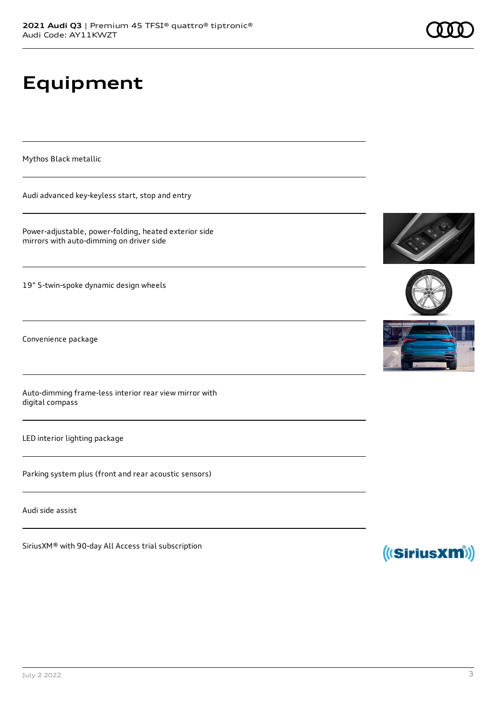# **Equipment**

Mythos Black metallic

Audi advanced key-keyless start, stop and entry

Power-adjustable, power-folding, heated exterior side mirrors with auto-dimming on driver side

19" 5-twin-spoke dynamic design wheels

Convenience package

Auto-dimming frame-less interior rear view mirror with digital compass

LED interior lighting package

Parking system plus (front and rear acoustic sensors)

Audi side assist

SiriusXM® with 90-day All Access trial subscription







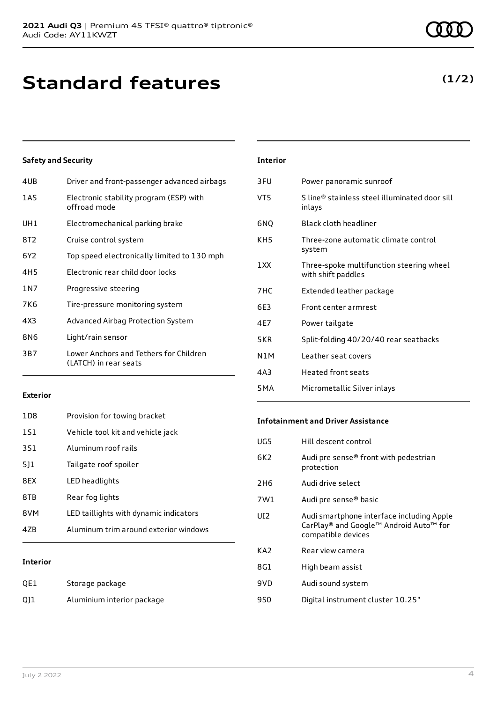## **Standard features**

### **Safety and Security**

| 4UB   | Driver and front-passenger advanced airbags                     |
|-------|-----------------------------------------------------------------|
| 1AS   | Electronic stability program (ESP) with<br>offroad mode         |
| UH1   | Electromechanical parking brake                                 |
| 8T2   | Cruise control system                                           |
| 6Y2   | Top speed electronically limited to 130 mph                     |
| 4H5   | Electronic rear child door locks                                |
| 1 N 7 | Progressive steering                                            |
| 7K6   | Tire-pressure monitoring system                                 |
| 4X3   | Advanced Airbag Protection System                               |
| 8N6   | Light/rain sensor                                               |
| 3B7   | Lower Anchors and Tethers for Children<br>(LATCH) in rear seats |
|       |                                                                 |

| <b>Interior</b>  |                                                                |
|------------------|----------------------------------------------------------------|
| 3FU              | Power panoramic sunroof                                        |
| VT5              | S line® stainless steel illuminated door sill<br>inlays        |
| 6NQ              | <b>Black cloth headliner</b>                                   |
| KH5              | Three-zone automatic climate control<br>system                 |
| 1 XX             | Three-spoke multifunction steering wheel<br>with shift paddles |
| 7HC              | Extended leather package                                       |
| 6F3              | Front center armrest                                           |
| 4E7              | Power tailgate                                                 |
| 5KR              | Split-folding 40/20/40 rear seatbacks                          |
| N1M              | Leather seat covers                                            |
| 4A3              | Heated front seats                                             |
| 5 <sub>M</sub> A | Micrometallic Silver inlays                                    |

### **Exterior**

| 47B             | Aluminum trim around exterior windows  |
|-----------------|----------------------------------------|
| 8VM             | LED taillights with dynamic indicators |
| 8TB             | Rear fog lights                        |
| 8FX             | LED headlights                         |
| 511             | Tailgate roof spoiler                  |
| 3S1             | Aluminum roof rails                    |
| 1S1             | Vehicle tool kit and vehicle jack      |
| 1D <sub>8</sub> | Provision for towing bracket           |

### **Interior**

| QE1 | Storage package            |
|-----|----------------------------|
| 011 | Aluminium interior package |

### **Infotainment and Driver Assistance**

| UG5             | Hill descent control                                                                                      |
|-----------------|-----------------------------------------------------------------------------------------------------------|
| 6K <sub>2</sub> | Audi pre sense® front with pedestrian<br>protection                                                       |
| 2H <sub>6</sub> | Audi drive select                                                                                         |
| 7W1             | Audi pre sense <sup>®</sup> basic                                                                         |
| UI <sub>2</sub> | Audi smartphone interface including Apple<br>CarPlay® and Google™ Android Auto™ for<br>compatible devices |
| KA <sub>2</sub> | Rear view camera                                                                                          |
| 8G1             | High beam assist                                                                                          |
| 9VD             | Audi sound system                                                                                         |
| 9S0             | Digital instrument cluster 10.25"                                                                         |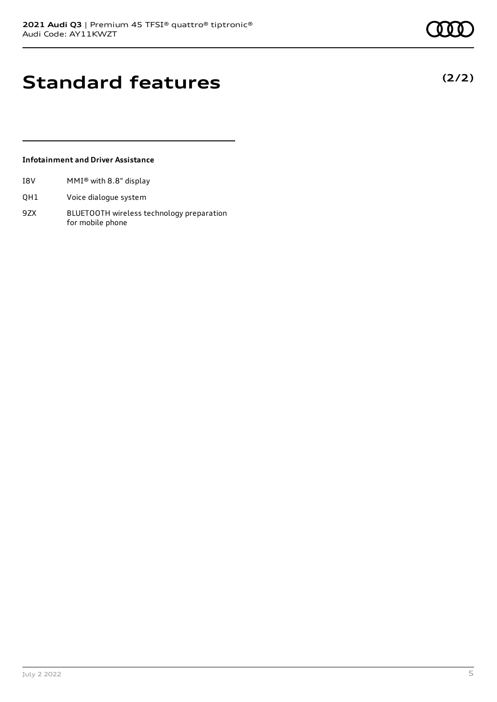**(2/2)**

### **Standard features**

### **Infotainment and Driver Assistance**

- I8V MMI® with 8.8" display
- QH1 Voice dialogue system
- 9ZX BLUETOOTH wireless technology preparation for mobile phone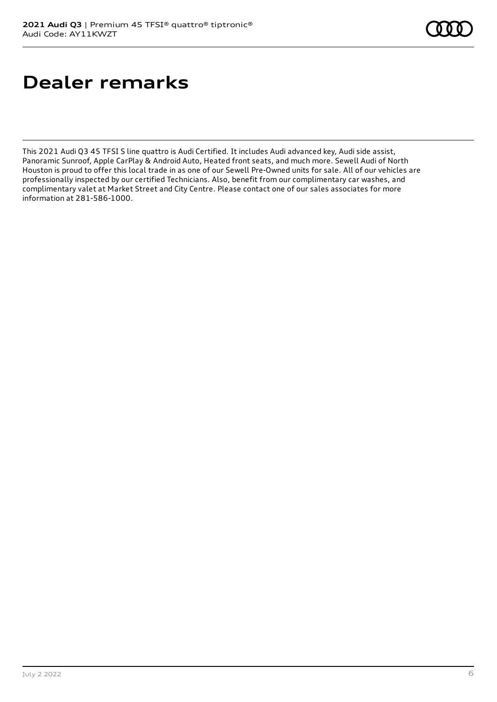# **Dealer remarks**

This 2021 Audi Q3 45 TFSI S line quattro is Audi Certified. It includes Audi advanced key, Audi side assist, Panoramic Sunroof, Apple CarPlay & Android Auto, Heated front seats, and much more. Sewell Audi of North Houston is proud to offer this local trade in as one of our Sewell Pre-Owned units for sale. All of our vehicles are professionally inspected by our certified Technicians. Also, benefit from our complimentary car washes, and complimentary valet at Market Street and City Centre. Please contact one of our sales associates for more information at 281-586-1000.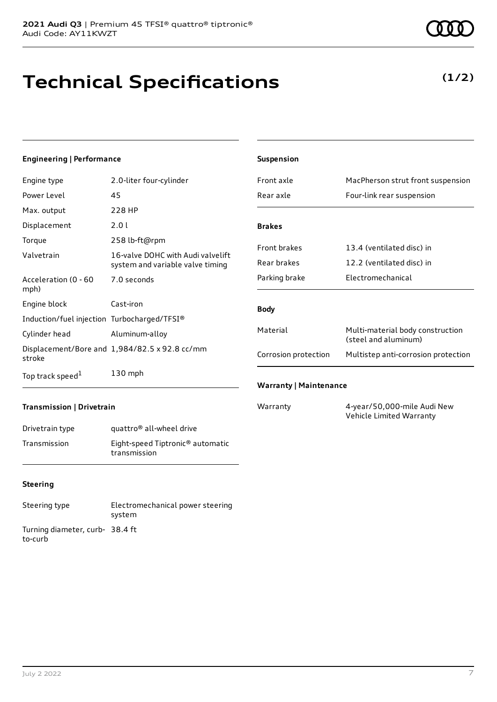# **Technical Specifications**

### **Engineering | Performance**

| Engine type                                 | 2.0-liter four-cylinder                                               |
|---------------------------------------------|-----------------------------------------------------------------------|
| Power Level                                 | 45                                                                    |
| Max. output                                 | 228 HP                                                                |
| Displacement                                | 2.0 L                                                                 |
| Torque                                      | 258 lb-ft@rpm                                                         |
| Valvetrain                                  | 16-valve DOHC with Audi valvelift<br>system and variable valve timing |
| Acceleration (0 - 60<br>mph)                | 7.0 seconds                                                           |
| Engine block                                | Cast-iron                                                             |
| Induction/fuel injection Turbocharged/TFSI® |                                                                       |
| Cylinder head                               | Aluminum-alloy                                                        |
| stroke                                      | Displacement/Bore and 1,984/82.5 x 92.8 cc/mm                         |
| Top track speed <sup>1</sup>                | $130$ mph                                                             |

| Suspension                    |                                                          |
|-------------------------------|----------------------------------------------------------|
| Front axle                    | MacPherson strut front suspension                        |
| Rear axle                     | Four-link rear suspension                                |
|                               |                                                          |
| <b>Brakes</b>                 |                                                          |
| <b>Front brakes</b>           | 13.4 (ventilated disc) in                                |
| Rear brakes                   | 12.2 (ventilated disc) in                                |
| Parking brake                 | Electromechanical                                        |
|                               |                                                          |
| <b>Body</b>                   |                                                          |
| Material                      | Multi-material body construction<br>(steel and aluminum) |
| Corrosion protection          | Multistep anti-corrosion protection                      |
| <b>Warranty   Maintenance</b> |                                                          |

### **Transmission | Drivetrain**

| Drivetrain type | quattro <sup>®</sup> all-wheel drive                         |
|-----------------|--------------------------------------------------------------|
| Transmission    | Eight-speed Tiptronic <sup>®</sup> automatic<br>transmission |

### **Steering**

| Steering type                             | Electromechanical power steering<br>system |
|-------------------------------------------|--------------------------------------------|
| Turning diameter, curb-38.4 ft<br>to-curb |                                            |

Warranty 4-year/50,000-mile Audi New Vehicle Limited Warranty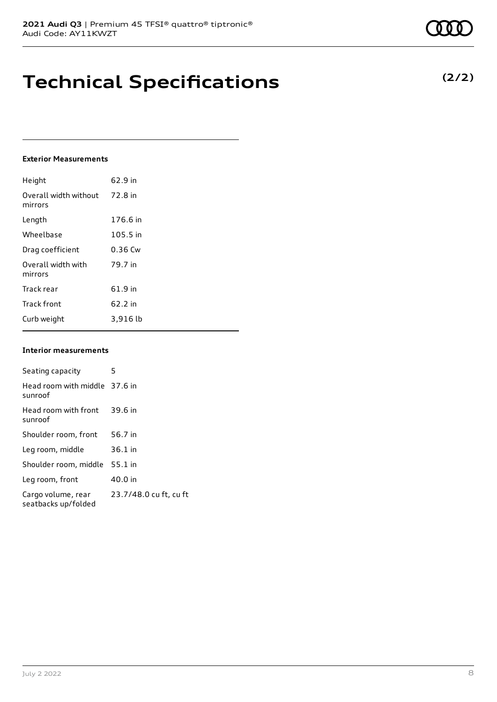### **Technical Specifications**

### **Exterior Measurements**

| Height                           | 62.9 in  |
|----------------------------------|----------|
| Overall width without<br>mirrors | 72.8 in  |
| Length                           | 176.6 in |
| Wheelbase                        | 105.5 in |
| Drag coefficient                 | 0.36 Cw  |
| Overall width with<br>mirrors    | 79.7 in  |
| Track rear                       | 61.9 in  |
| <b>Track front</b>               | 62.2 in  |
| Curb weight                      | 3,916 lb |

#### **Interior measurements**

| Seating capacity                          | 5                      |
|-------------------------------------------|------------------------|
| Head room with middle 37.6 in<br>sunroof  |                        |
| Head room with front<br>sunroof           | 39.6 in                |
| Shoulder room, front                      | 56.7 in                |
| Leg room, middle                          | $36.1$ in              |
| Shoulder room, middle                     | $55.1$ in              |
| Leg room, front                           | 40.0 in                |
| Cargo volume, rear<br>seatbacks up/folded | 23.7/48.0 cu ft, cu ft |

**(2/2)**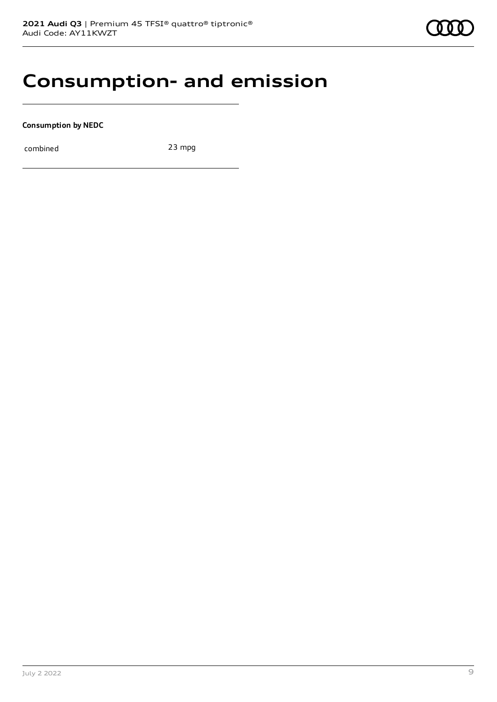### **Consumption- and emission**

**Consumption by NEDC**

combined 23 mpg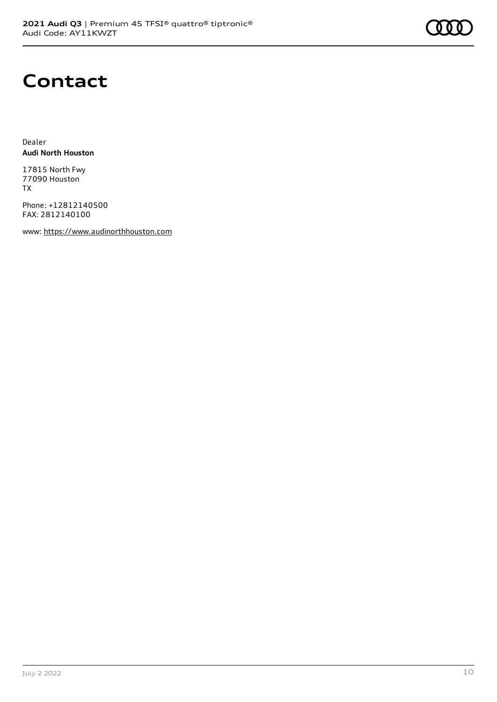

### **Contact**

Dealer **Audi North Houston**

17815 North Fwy 77090 Houston TX

Phone: +12812140500 FAX: 2812140100

www: [https://www.audinorthhouston.com](https://www.audinorthhouston.com/)